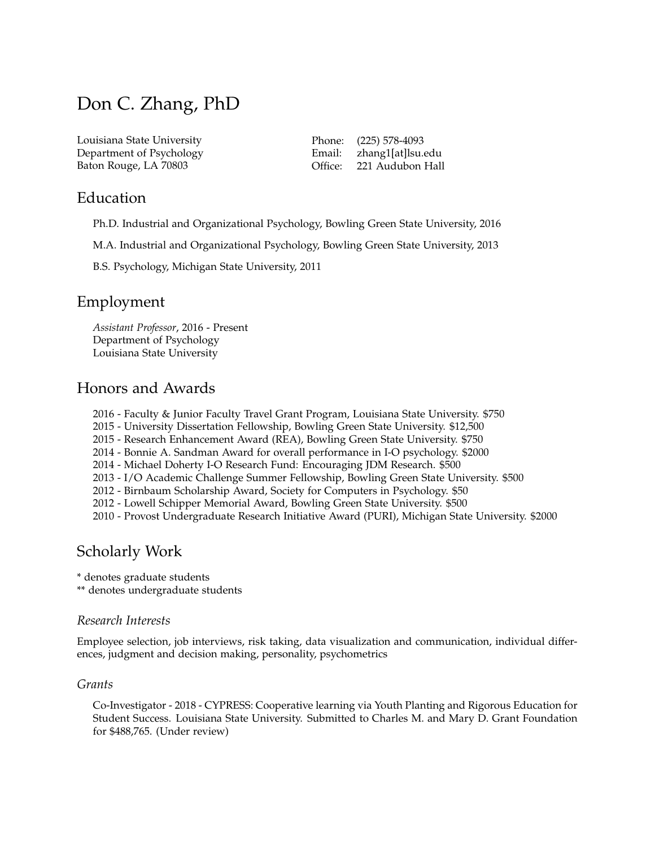# Don C. Zhang, PhD

Louisiana State University Department of Psychology Baton Rouge, LA 70803

Phone: (225) 578-4093 Email: zhang1[at]lsu.edu Office: 221 Audubon Hall

### Education

Ph.D. Industrial and Organizational Psychology, Bowling Green State University, 2016

M.A. Industrial and Organizational Psychology, Bowling Green State University, 2013

B.S. Psychology, Michigan State University, 2011

## Employment

*Assistant Professor*, 2016 - Present Department of Psychology Louisiana State University

# Honors and Awards

2016 - Faculty & Junior Faculty Travel Grant Program, Louisiana State University. \$750

2015 - University Dissertation Fellowship, Bowling Green State University. \$12,500

2015 - Research Enhancement Award (REA), Bowling Green State University. \$750

2014 - Bonnie A. Sandman Award for overall performance in I-O psychology. \$2000

2014 - Michael Doherty I-O Research Fund: Encouraging JDM Research. \$500

2013 - I/O Academic Challenge Summer Fellowship, Bowling Green State University. \$500

2012 - Birnbaum Scholarship Award, Society for Computers in Psychology. \$50

2012 - Lowell Schipper Memorial Award, Bowling Green State University. \$500

2010 - Provost Undergraduate Research Initiative Award (PURI), Michigan State University. \$2000

# Scholarly Work

\* denotes graduate students

\*\* denotes undergraduate students

### *Research Interests*

Employee selection, job interviews, risk taking, data visualization and communication, individual differences, judgment and decision making, personality, psychometrics

### *Grants*

Co-Investigator - 2018 - CYPRESS: Cooperative learning via Youth Planting and Rigorous Education for Student Success. Louisiana State University. Submitted to Charles M. and Mary D. Grant Foundation for \$488,765. (Under review)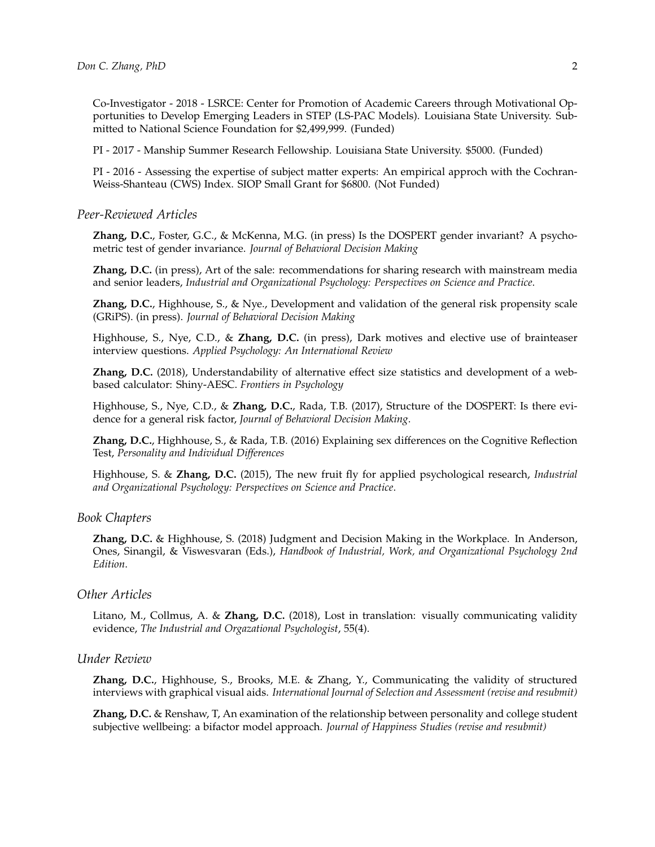Co-Investigator - 2018 - LSRCE: Center for Promotion of Academic Careers through Motivational Opportunities to Develop Emerging Leaders in STEP (LS-PAC Models). Louisiana State University. Submitted to National Science Foundation for \$2,499,999. (Funded)

PI - 2017 - Manship Summer Research Fellowship. Louisiana State University. \$5000. (Funded)

PI - 2016 - Assessing the expertise of subject matter experts: An empirical approch with the Cochran-Weiss-Shanteau (CWS) Index. SIOP Small Grant for \$6800. (Not Funded)

#### *Peer-Reviewed Articles*

**Zhang, D.C.**, Foster, G.C., & McKenna, M.G. (in press) Is the DOSPERT gender invariant? A psychometric test of gender invariance. *Journal of Behavioral Decision Making*

**Zhang, D.C.** (in press), Art of the sale: recommendations for sharing research with mainstream media and senior leaders, *Industrial and Organizational Psychology: Perspectives on Science and Practice*.

**Zhang, D.C.**, Highhouse, S., & Nye., Development and validation of the general risk propensity scale (GRiPS). (in press). *Journal of Behavioral Decision Making*

Highhouse, S., Nye, C.D., & **Zhang, D.C.** (in press), Dark motives and elective use of brainteaser interview questions. *Applied Psychology: An International Review*

**Zhang, D.C.** (2018), Understandability of alternative effect size statistics and development of a webbased calculator: Shiny-AESC. *Frontiers in Psychology*

Highhouse, S., Nye, C.D., & **Zhang, D.C.**, Rada, T.B. (2017), Structure of the DOSPERT: Is there evidence for a general risk factor, *Journal of Behavioral Decision Making*.

**Zhang, D.C.**, Highhouse, S., & Rada, T.B. (2016) Explaining sex differences on the Cognitive Reflection Test, *Personality and Individual Differences*

Highhouse, S. & **Zhang, D.C.** (2015), The new fruit fly for applied psychological research, *Industrial and Organizational Psychology: Perspectives on Science and Practice*.

### *Book Chapters*

**Zhang, D.C.** & Highhouse, S. (2018) Judgment and Decision Making in the Workplace. In Anderson, Ones, Sinangil, & Viswesvaran (Eds.), *Handbook of Industrial, Work, and Organizational Psychology 2nd Edition*.

### *Other Articles*

Litano, M., Collmus, A. & **Zhang, D.C.** (2018), Lost in translation: visually communicating validity evidence, *The Industrial and Orgazational Psychologist*, 55(4).

### *Under Review*

**Zhang, D.C.**, Highhouse, S., Brooks, M.E. & Zhang, Y., Communicating the validity of structured interviews with graphical visual aids. *International Journal of Selection and Assessment (revise and resubmit)*

**Zhang, D.C.** & Renshaw, T, An examination of the relationship between personality and college student subjective wellbeing: a bifactor model approach. *Journal of Happiness Studies (revise and resubmit)*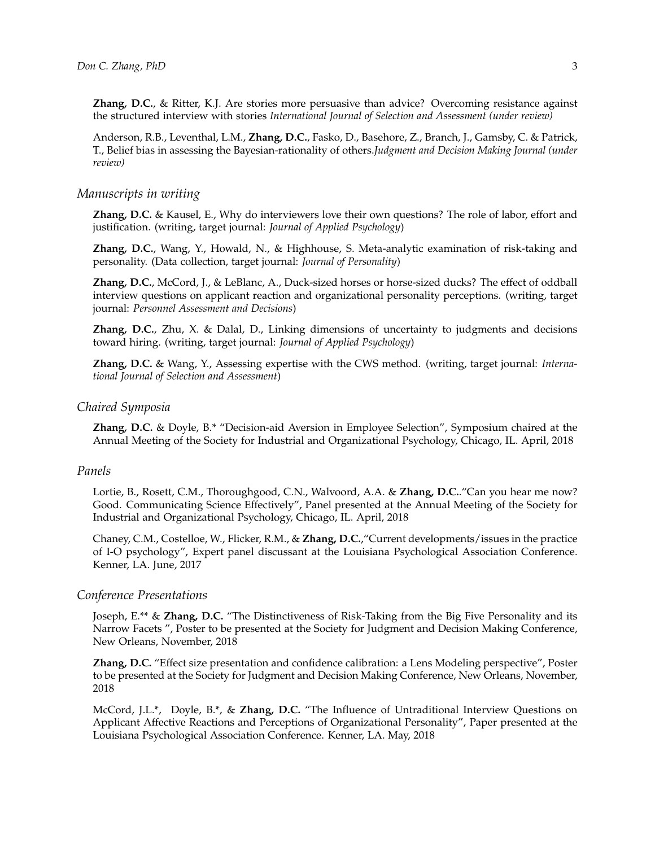**Zhang, D.C.**, & Ritter, K.J. Are stories more persuasive than advice? Overcoming resistance against the structured interview with stories *International Journal of Selection and Assessment (under review)*

Anderson, R.B., Leventhal, L.M., **Zhang, D.C.**, Fasko, D., Basehore, Z., Branch, J., Gamsby, C. & Patrick, T., Belief bias in assessing the Bayesian-rationality of others.*Judgment and Decision Making Journal (under review)*

### *Manuscripts in writing*

**Zhang, D.C.** & Kausel, E., Why do interviewers love their own questions? The role of labor, effort and justification. (writing, target journal: *Journal of Applied Psychology*)

**Zhang, D.C.**, Wang, Y., Howald, N., & Highhouse, S. Meta-analytic examination of risk-taking and personality. (Data collection, target journal: *Journal of Personality*)

**Zhang, D.C.**, McCord, J., & LeBlanc, A., Duck-sized horses or horse-sized ducks? The effect of oddball interview questions on applicant reaction and organizational personality perceptions. (writing, target journal: *Personnel Assessment and Decisions*)

**Zhang, D.C.**, Zhu, X. & Dalal, D., Linking dimensions of uncertainty to judgments and decisions toward hiring. (writing, target journal: *Journal of Applied Psychology*)

**Zhang, D.C.** & Wang, Y., Assessing expertise with the CWS method. (writing, target journal: *International Journal of Selection and Assessment*)

### *Chaired Symposia*

**Zhang, D.C.** & Doyle, B.\* "Decision-aid Aversion in Employee Selection", Symposium chaired at the Annual Meeting of the Society for Industrial and Organizational Psychology, Chicago, IL. April, 2018

### *Panels*

Lortie, B., Rosett, C.M., Thoroughgood, C.N., Walvoord, A.A. & **Zhang, D.C.**."Can you hear me now? Good. Communicating Science Effectively", Panel presented at the Annual Meeting of the Society for Industrial and Organizational Psychology, Chicago, IL. April, 2018

Chaney, C.M., Costelloe, W., Flicker, R.M., & **Zhang, D.C.**,"Current developments/issues in the practice of I-O psychology", Expert panel discussant at the Louisiana Psychological Association Conference. Kenner, LA. June, 2017

### *Conference Presentations*

Joseph, E.\*\* & **Zhang, D.C.** "The Distinctiveness of Risk-Taking from the Big Five Personality and its Narrow Facets ", Poster to be presented at the Society for Judgment and Decision Making Conference, New Orleans, November, 2018

**Zhang, D.C.** "Effect size presentation and confidence calibration: a Lens Modeling perspective", Poster to be presented at the Society for Judgment and Decision Making Conference, New Orleans, November, 2018

McCord, J.L.\*, Doyle, B.\*, & **Zhang, D.C.** "The Influence of Untraditional Interview Questions on Applicant Affective Reactions and Perceptions of Organizational Personality", Paper presented at the Louisiana Psychological Association Conference. Kenner, LA. May, 2018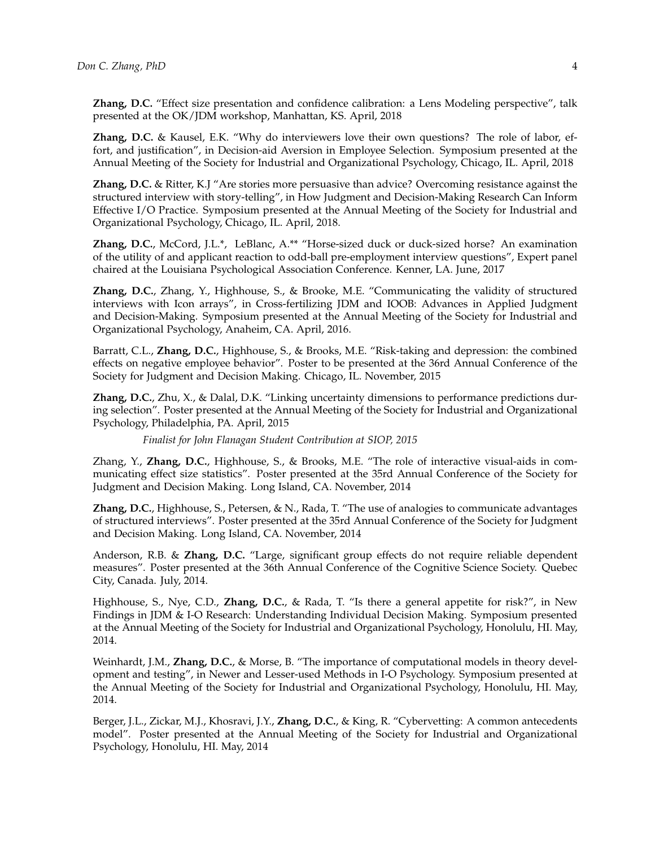**Zhang, D.C.** "Effect size presentation and confidence calibration: a Lens Modeling perspective", talk presented at the OK/JDM workshop, Manhattan, KS. April, 2018

**Zhang, D.C.** & Kausel, E.K. "Why do interviewers love their own questions? The role of labor, effort, and justification", in Decision-aid Aversion in Employee Selection. Symposium presented at the Annual Meeting of the Society for Industrial and Organizational Psychology, Chicago, IL. April, 2018

**Zhang, D.C.** & Ritter, K.J "Are stories more persuasive than advice? Overcoming resistance against the structured interview with story-telling", in How Judgment and Decision-Making Research Can Inform Effective I/O Practice. Symposium presented at the Annual Meeting of the Society for Industrial and Organizational Psychology, Chicago, IL. April, 2018.

**Zhang, D.C.**, McCord, J.L.\*, LeBlanc, A.\*\* "Horse-sized duck or duck-sized horse? An examination of the utility of and applicant reaction to odd-ball pre-employment interview questions", Expert panel chaired at the Louisiana Psychological Association Conference. Kenner, LA. June, 2017

**Zhang, D.C.**, Zhang, Y., Highhouse, S., & Brooke, M.E. "Communicating the validity of structured interviews with Icon arrays", in Cross-fertilizing JDM and IOOB: Advances in Applied Judgment and Decision-Making. Symposium presented at the Annual Meeting of the Society for Industrial and Organizational Psychology, Anaheim, CA. April, 2016.

Barratt, C.L., **Zhang, D.C.**, Highhouse, S., & Brooks, M.E. "Risk-taking and depression: the combined effects on negative employee behavior". Poster to be presented at the 36rd Annual Conference of the Society for Judgment and Decision Making. Chicago, IL. November, 2015

**Zhang, D.C.**, Zhu, X., & Dalal, D.K. "Linking uncertainty dimensions to performance predictions during selection". Poster presented at the Annual Meeting of the Society for Industrial and Organizational Psychology, Philadelphia, PA. April, 2015

*Finalist for John Flanagan Student Contribution at SIOP, 2015*

Zhang, Y., **Zhang, D.C.**, Highhouse, S., & Brooks, M.E. "The role of interactive visual-aids in communicating effect size statistics". Poster presented at the 35rd Annual Conference of the Society for Judgment and Decision Making. Long Island, CA. November, 2014

**Zhang, D.C.**, Highhouse, S., Petersen, & N., Rada, T. "The use of analogies to communicate advantages of structured interviews". Poster presented at the 35rd Annual Conference of the Society for Judgment and Decision Making. Long Island, CA. November, 2014

Anderson, R.B. & **Zhang, D.C.** "Large, significant group effects do not require reliable dependent measures". Poster presented at the 36th Annual Conference of the Cognitive Science Society. Quebec City, Canada. July, 2014.

Highhouse, S., Nye, C.D., **Zhang, D.C.**, & Rada, T. "Is there a general appetite for risk?", in New Findings in JDM & I-O Research: Understanding Individual Decision Making. Symposium presented at the Annual Meeting of the Society for Industrial and Organizational Psychology, Honolulu, HI. May, 2014.

Weinhardt, J.M., **Zhang, D.C.**, & Morse, B. "The importance of computational models in theory development and testing", in Newer and Lesser-used Methods in I-O Psychology. Symposium presented at the Annual Meeting of the Society for Industrial and Organizational Psychology, Honolulu, HI. May, 2014.

Berger, J.L., Zickar, M.J., Khosravi, J.Y., **Zhang, D.C.**, & King, R. "Cybervetting: A common antecedents model". Poster presented at the Annual Meeting of the Society for Industrial and Organizational Psychology, Honolulu, HI. May, 2014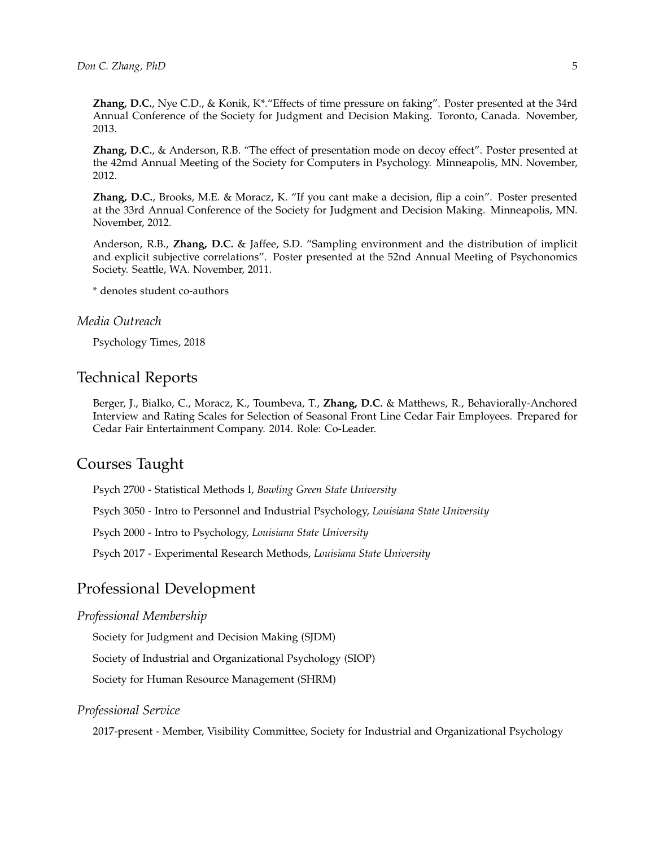**Zhang, D.C.**, Nye C.D., & Konik, K\*."Effects of time pressure on faking". Poster presented at the 34rd Annual Conference of the Society for Judgment and Decision Making. Toronto, Canada. November, 2013.

**Zhang, D.C.**, & Anderson, R.B. "The effect of presentation mode on decoy effect". Poster presented at the 42md Annual Meeting of the Society for Computers in Psychology. Minneapolis, MN. November, 2012.

**Zhang, D.C.**, Brooks, M.E. & Moracz, K. "If you cant make a decision, flip a coin". Poster presented at the 33rd Annual Conference of the Society for Judgment and Decision Making. Minneapolis, MN. November, 2012.

Anderson, R.B., **Zhang, D.C.** & Jaffee, S.D. "Sampling environment and the distribution of implicit and explicit subjective correlations". Poster presented at the 52nd Annual Meeting of Psychonomics Society. Seattle, WA. November, 2011.

\* denotes student co-authors

### *Media Outreach*

[Psychology Times, 2018](http://thepsychologytimes.com/psyc-times-pdfs/The-Psychology-Times-Vol-9-No-4.pdf)

### Technical Reports

Berger, J., Bialko, C., Moracz, K., Toumbeva, T., **Zhang, D.C.** & Matthews, R., Behaviorally-Anchored Interview and Rating Scales for Selection of Seasonal Front Line Cedar Fair Employees. Prepared for Cedar Fair Entertainment Company. 2014. Role: Co-Leader.

### Courses Taught

Psych 2700 - Statistical Methods I, *Bowling Green State University*

Psych 3050 - Intro to Personnel and Industrial Psychology, *Louisiana State University*

Psych 2000 - Intro to Psychology, *Louisiana State University*

Psych 2017 - Experimental Research Methods, *Louisiana State University*

### Professional Development

### *Professional Membership*

Society for Judgment and Decision Making (SJDM)

Society of Industrial and Organizational Psychology (SIOP)

Society for Human Resource Management (SHRM)

### *Professional Service*

2017-present - Member, Visibility Committee, Society for Industrial and Organizational Psychology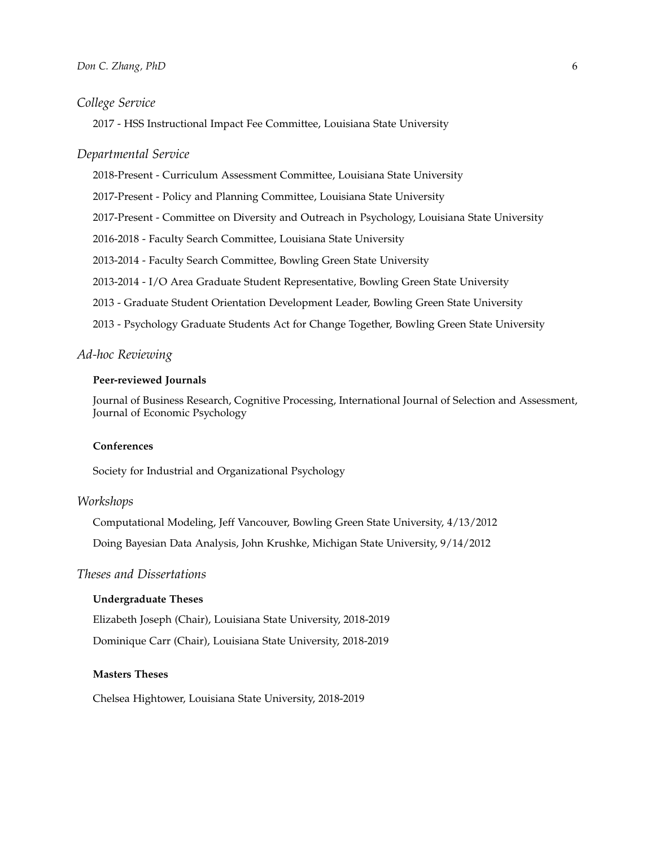### *College Service*

2017 - HSS Instructional Impact Fee Committee, Louisiana State University

### *Departmental Service*

2018-Present - Curriculum Assessment Committee, Louisiana State University 2017-Present - Policy and Planning Committee, Louisiana State University 2017-Present - Committee on Diversity and Outreach in Psychology, Louisiana State University 2016-2018 - Faculty Search Committee, Louisiana State University 2013-2014 - Faculty Search Committee, Bowling Green State University 2013-2014 - I/O Area Graduate Student Representative, Bowling Green State University 2013 - Graduate Student Orientation Development Leader, Bowling Green State University 2013 - Psychology Graduate Students Act for Change Together, Bowling Green State University

### *Ad-hoc Reviewing*

#### **Peer-reviewed Journals**

Journal of Business Research, Cognitive Processing, International Journal of Selection and Assessment, Journal of Economic Psychology

### **Conferences**

Society for Industrial and Organizational Psychology

### *Workshops*

Computational Modeling, Jeff Vancouver, Bowling Green State University, 4/13/2012 Doing Bayesian Data Analysis, John Krushke, Michigan State University, 9/14/2012

### *Theses and Dissertations*

#### **Undergraduate Theses**

Elizabeth Joseph (Chair), Louisiana State University, 2018-2019 Dominique Carr (Chair), Louisiana State University, 2018-2019

#### **Masters Theses**

Chelsea Hightower, Louisiana State University, 2018-2019